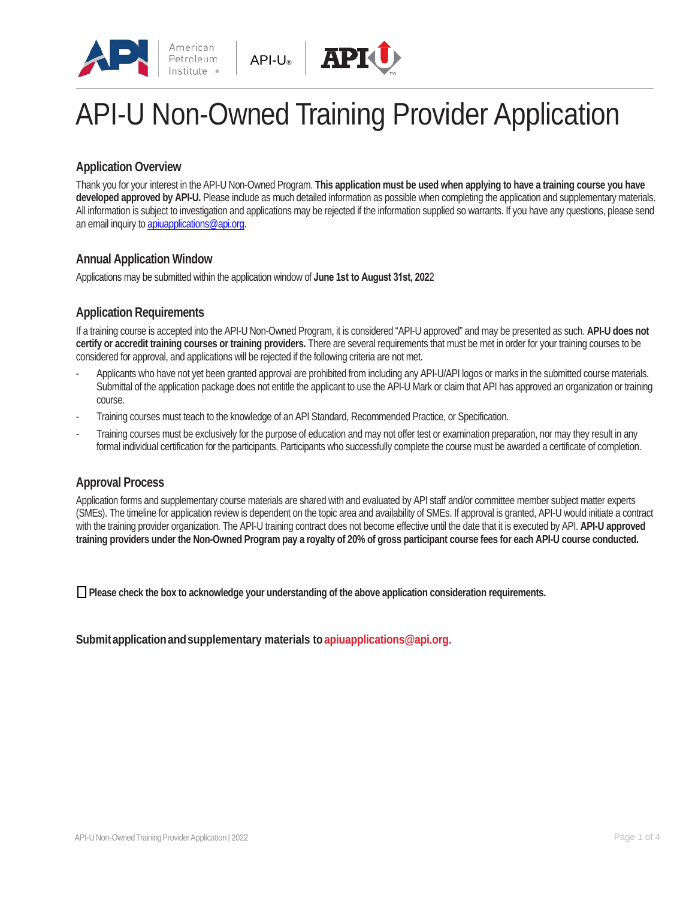



## **Application Overview**

Thank you for your interest in the API-U Non-Owned Program. **This application must be used when applying to have a training course you have developed approved by API-U.** Please include as much detailed information as possible when completing the application and supplementary materials. All information is subject to investigation and applications may be rejected if the information supplied so warrants. If you have any questions, please send an email inquiry to apiuapplications@api.org.

### **Annual Application Window**

Applications may be submitted within the application window of **June 1st to August 31st, 202**2

## **Application Requirements**

If a training course is accepted into the API-U Non-Owned Program, it is considered "API-U approved" and may be presented as such. **API-U does not certify or accredit training courses or training providers.** There are several requirements that must be met in order for your training courses to be considered for approval, and applications will be rejected if the following criteria are not met.

- Applicants who have not yet been granted approval are prohibited from including any API-U/API logos or marks in the submitted course materials. Submittal of the application package does not entitle the applicant to use the API-U Mark or claim that API has approved an organization or training course.
- Training courses must teach to the knowledge of an API Standard, Recommended Practice, or Specification.
- Training courses must be exclusively for the purpose of education and may not offer test or examination preparation, nor may they result in any formal individual certification for the participants. Participants who successfully complete the course must be awarded a certificate of completion.

## **Approval Process**

Application forms and supplementary course materials are shared with and evaluated by API staff and/or committee member subject matter experts (SMEs). The timeline for application review is dependent on the topic area and availability of SMEs. If approval is granted, API-U would initiate a contract with the training provider organization. The API-U training contract does not become effective until the date that it is executed by API. **API-U approved training providers under the Non-Owned Program pay a royalty of 20% of gross participant course fees for each API-U course conducted.**

❑ **Please check the box to acknowledge your understanding of the above application consideration requirements.** 

**Submit application andsupplementary materials t[o apiuapplications@api.org.](mailto:apiuapplications@api.org)**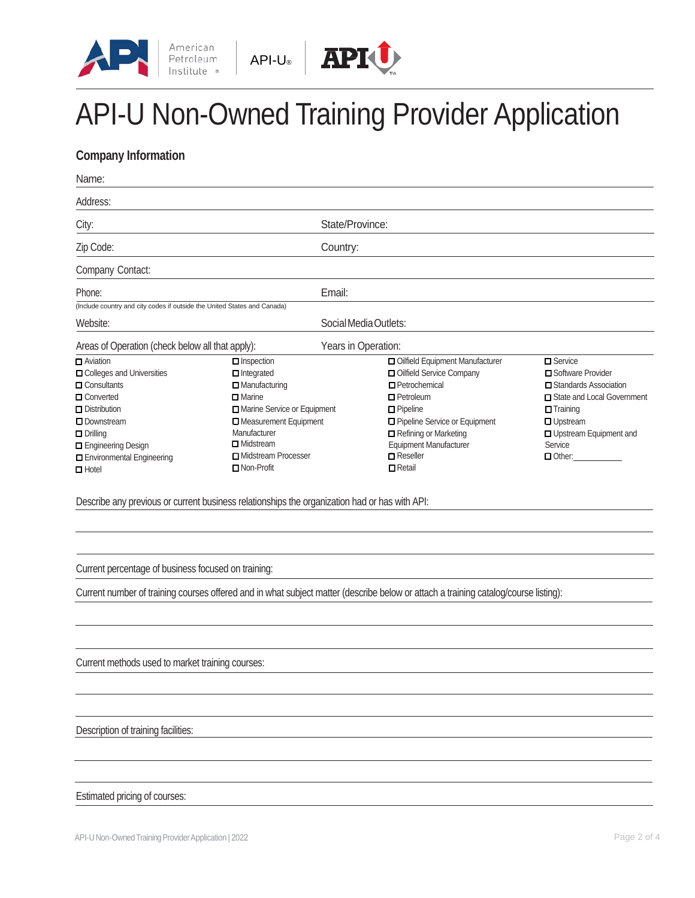



## **Company Information**

| Name:                                                                    |                             |                                 |                              |  |
|--------------------------------------------------------------------------|-----------------------------|---------------------------------|------------------------------|--|
| Address:                                                                 |                             |                                 |                              |  |
| City:                                                                    |                             | State/Province:                 |                              |  |
| Zip Code:                                                                |                             | Country:                        |                              |  |
| Company Contact:                                                         |                             |                                 |                              |  |
| Phone:                                                                   | Email:                      |                                 |                              |  |
| (Include country and city codes if outside the United States and Canada) |                             |                                 |                              |  |
| Website:                                                                 |                             | Social Media Outlets:           |                              |  |
| Areas of Operation (check below all that apply):                         |                             | Years in Operation:             |                              |  |
| $\Box$ Aviation                                                          | $\Box$ Inspection           | Oilfield Equipment Manufacturer | $\square$ Service            |  |
| $\Box$ Colleges and Universities                                         | $\Box$ Integrated           | Oilfield Service Company        | □ Software Provider          |  |
| $\Box$ Consultants                                                       | $\Box$ Manufacturing        | $\Box$ Petrochemical            | □ Standards Association      |  |
| <b>O</b> Converted                                                       | $\Box$ Marine               | $\Box$ Petroleum                | □ State and Local Government |  |
| $\Box$ Distribution                                                      | Marine Service or Equipment | $\Box$ Pipeline                 | $\Box$ Training              |  |
| $\square$ Downstream                                                     | Measurement Equipment       | □ Pipeline Service or Equipment | <b>U</b> Upstream            |  |
| $\Box$ Drilling                                                          | Manufacturer                | Refining or Marketing           | □ Upstream Equipment and     |  |
| Engineering Design                                                       | $\Box$ Midstream            | <b>Equipment Manufacturer</b>   | Service                      |  |
| $\Box$ Environmental Engineering                                         | □ Midstream Processer       | $\blacksquare$ Reseller         | $\Box$ Other:                |  |
|                                                                          | $\Box$ Non-Profit           | $\Box$ Retail                   |                              |  |

Current percentage of business focused on training:

Current number of training courses offered and in what subject matter (describe below or attach a training catalog/course listing):

Current methods used to market training courses:

Description of training facilities:

#### Estimated pricing of courses: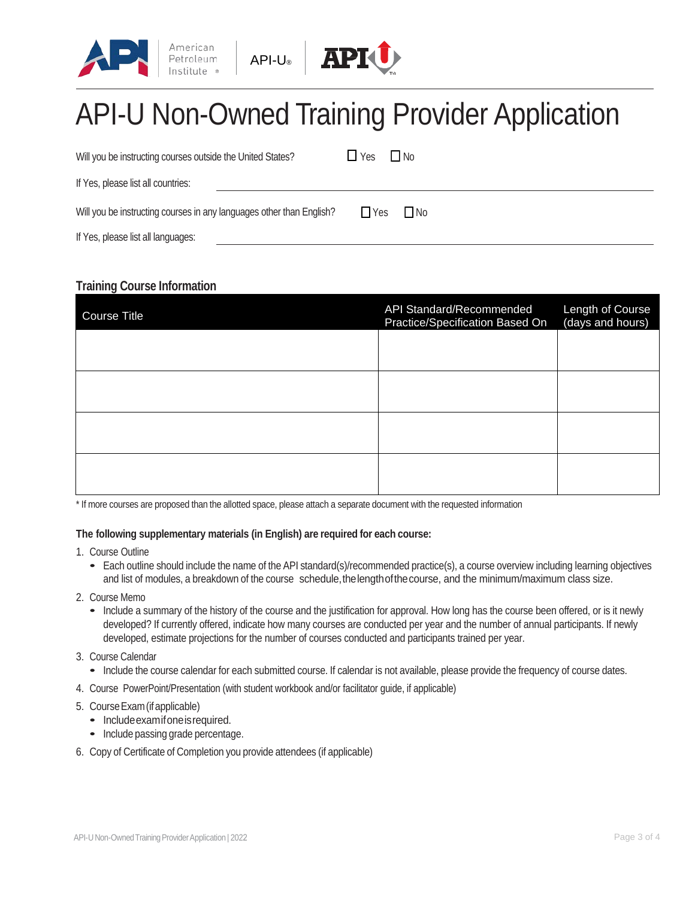



| Will you be instructing courses outside the United States?           | $\sqcup$ Yes<br>$\Box$ No |
|----------------------------------------------------------------------|---------------------------|
| If Yes, please list all countries:                                   |                           |
| Will you be instructing courses in any languages other than English? | $\Box$ Yes<br>$\Box$ No   |
| If Yes, please list all languages:                                   |                           |

## **Training Course Information**

| Course Title | <b>API Standard/Recommended</b><br>Practice/Specification Based On | Length of Course<br>(days and hours) |
|--------------|--------------------------------------------------------------------|--------------------------------------|
|              |                                                                    |                                      |
|              |                                                                    |                                      |
|              |                                                                    |                                      |
|              |                                                                    |                                      |

\* If more courses are proposed than the allotted space, please attach a separate document with the requested information

#### **The following supplementary materials (in English) are required for each course:**

- 1. Course Outline
	- Each outline should include the name of the API standard(s)/recommended practice(s), a course overview including learning objectives and list of modules, a breakdown of the course schedule, the length of the course, and the minimum/maximum class size.
- 2. Course Memo
	- Include a summary of the history of the course and the justification for approval. How long has the course been offered, or is it newly developed? If currently offered, indicate how many courses are conducted per year and the number of annual participants. If newly developed, estimate projections for the number of courses conducted and participants trained per year.
- 3. Course Calendar
- Include the course calendar for each submitted course. If calendar is not available, please provide the frequency of course dates.
- 4. Course PowerPoint/Presentation (with student workbook and/or facilitator guide, if applicable)
- 5. CourseExam(ifapplicable)
	- Includeexamifoneisrequired.
	- Include passing grade percentage.
- 6. Copy of Certificate of Completion you provide attendees (if applicable)